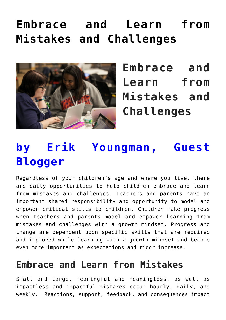# **[Embrace and Learn from](https://genparenting.com/embrace-and-learn-from-mistakes-and-challenges/) [Mistakes and Challenges](https://genparenting.com/embrace-and-learn-from-mistakes-and-challenges/)**



**Embrace and Learn from Mistakes and Challenges**

# **by Erik Youngman, Guest Blogger**

Regardless of your children's age and where you live, there are daily opportunities to help children embrace and learn from mistakes and challenges. Teachers and parents have an important shared responsibility and opportunity to model and empower critical skills to children. Children make progress when teachers and parents model and empower learning from mistakes and challenges with a growth mindset. Progress and change are dependent upon specific skills that are required and improved while learning with a growth mindset and become even more important as expectations and rigor increase.

#### **Embrace and Learn from Mistakes**

Small and large, meaningful and meaningless, as well as impactless and impactful mistakes occur hourly, daily, and weekly. Reactions, support, feedback, and consequences impact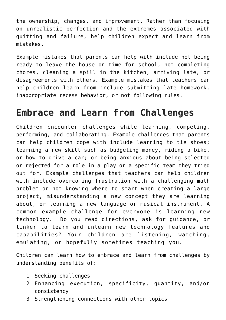the ownership, changes, and improvement. Rather than focusing on unrealistic perfection and the extremes associated with quitting and failure, help children expect and learn from mistakes.

Example mistakes that parents can help with include not being ready to leave the house on time for school, not completing chores, cleaning a spill in the kitchen, arriving late, or disagreements with others. Example mistakes that teachers can help children learn from include submitting late homework, inappropriate recess behavior, or not following rules.

#### **Embrace and Learn from Challenges**

Children encounter challenges while learning, competing, performing, and collaborating. Example challenges that parents can help children cope with include learning to tie shoes; learning a new skill such as budgeting money, riding a bike, or how to drive a car; or being anxious about being selected or rejected for a role in a play or a specific team they tried out for. Example challenges that teachers can help children with include overcoming frustration with a challenging math problem or not knowing where to start when creating a large project, misunderstanding a new concept they are learning about, or learning a new language or musical instrument. A common example challenge for everyone is learning new technology. Do you read directions, ask for guidance, or tinker to learn and unlearn new technology features and capabilities? Your children are listening, watching, emulating, or hopefully sometimes teaching you.

Children can learn how to embrace and learn from challenges by understanding benefits of:

- 1. Seeking challenges
- 2. Enhancing execution, specificity, quantity, and/or consistency
- 3. Strengthening connections with other topics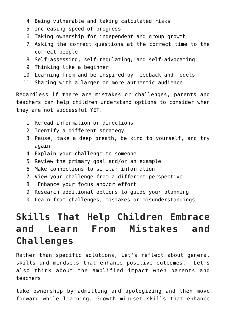- 4. Being vulnerable and taking calculated risks
- 5. Increasing speed of progress
- 6. Taking ownership for independent and group growth
- 7. Asking the correct questions at the correct time to the correct people
- 8. Self-assessing, self-regulating, and self-advocating
- 9. Thinking like a beginner
- 10. Learning from and be inspired by feedback and models
- 11. Sharing with a larger or more authentic audience

Regardless if there are mistakes or challenges, parents and teachers can help children understand options to consider when they are not successful YET.

- 1. Reread information or directions
- 2. Identify a different strategy
- 3. Pause, take a deep breath, be kind to yourself, and try again
- 4. Explain your challenge to someone
- 5. Review the primary goal and/or an example
- 6. Make connections to similar information
- 7. View your challenge from a different perspective
- 8. Enhance your focus and/or effort
- 9. Research additional options to guide your planning
- 10. Learn from challenges, mistakes or misunderstandings

### **Skills That Help Children Embrace and Learn From Mistakes and Challenges**

Rather than specific solutions, Let's reflect about general skills and mindsets that enhance positive outcomes. Let's also think about the amplified impact when parents and teachers

take ownership by admitting and apologizing and then move forward while learning. Growth mindset skills that enhance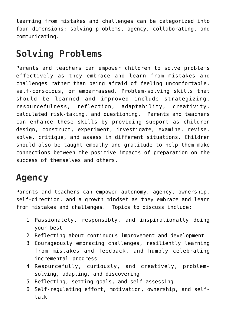learning from mistakes and challenges can be categorized into four dimensions: solving problems, agency, collaborating, and communicating.

## **Solving Problems**

Parents and teachers can empower children to solve problems effectively as they embrace and learn from mistakes and challenges rather than being afraid of feeling uncomfortable, self-conscious, or embarrassed. Problem-solving skills that should be learned and improved include strategizing, resourcefulness, reflection, adaptability, creativity, calculated risk-taking, and questioning. Parents and teachers can enhance these skills by providing support as children design, construct, experiment, investigate, examine, revise, solve, critique, and assess in different situations. Children should also be taught empathy and gratitude to help them make connections between the positive impacts of preparation on the success of themselves and others.

## **Agency**

Parents and teachers can empower autonomy, agency, ownership, self-direction, and a growth mindset as they embrace and learn from mistakes and challenges. Topics to discuss include:

- 1. Passionately, responsibly, and inspirationally doing your best
- 2. Reflecting about continuous improvement and development
- 3. Courageously embracing challenges, resiliently learning from mistakes and feedback, and humbly celebrating incremental progress
- 4. Resourcefully, curiously, and creatively, problemsolving, adapting, and discovering
- 5. Reflecting, setting goals, and self-assessing
- 6. Self-regulating effort, motivation, ownership, and selftalk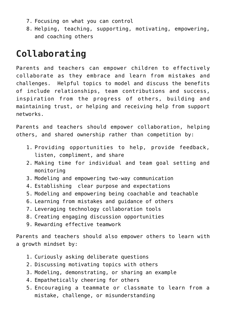- 7. Focusing on what you can control
- 8. Helping, teaching, supporting, motivating, empowering, and coaching others

# **Collaborating**

Parents and teachers can empower children to effectively collaborate as they embrace and learn from mistakes and challenges. Helpful topics to model and discuss the benefits of include relationships, team contributions and success, inspiration from the progress of others, building and maintaining trust, or helping and receiving help from support networks.

Parents and teachers should empower collaboration, helping others, and shared ownership rather than competition by:

- 1. Providing opportunities to help, provide feedback, listen, compliment, and share
- 2. Making time for individual and team goal setting and monitoring
- 3. Modeling and empowering two-way communication
- 4. Establishing clear purpose and expectations
- 5. Modeling and empowering being coachable and teachable
- 6. Learning from mistakes and guidance of others
- 7. Leveraging technology collaboration tools
- 8. Creating engaging discussion opportunities
- 9. Rewarding effective teamwork

Parents and teachers should also empower others to learn with a growth mindset by:

- 1. Curiously asking deliberate questions
- 2. Discussing motivating topics with others
- 3. Modeling, demonstrating, or sharing an example
- 4. Empathetically cheering for others
- 5. Encouraging a teammate or classmate to learn from a mistake, challenge, or misunderstanding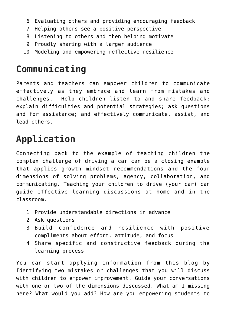- 6. Evaluating others and providing encouraging feedback
- 7. Helping others see a positive perspective
- 8. Listening to others and then helping motivate
- 9. Proudly sharing with a larger audience
- 10. Modeling and empowering reflective resilience

## **Communicating**

Parents and teachers can empower children to communicate effectively as they embrace and learn from mistakes and challenges. Help children listen to and share feedback; explain difficulties and potential strategies; ask questions and for assistance; and effectively communicate, assist, and lead others.

## **Application**

Connecting back to the example of teaching children the complex challenge of driving a car can be a closing example that applies growth mindset recommendations and the four dimensions of solving problems, agency, collaboration, and communicating. Teaching your children to drive (your car) can guide effective learning discussions at home and in the classroom.

- 1. Provide understandable directions in advance
- 2. Ask questions
- 3. Build confidence and resilience with positive compliments about effort, attitude, and focus
- 4. Share specific and constructive feedback during the learning process

You can start applying information from this blog by Identifying two mistakes or challenges that you will discuss with children to empower improvement. Guide your conversations with one or two of the dimensions discussed. What am I missing here? What would you add? How are you empowering students to